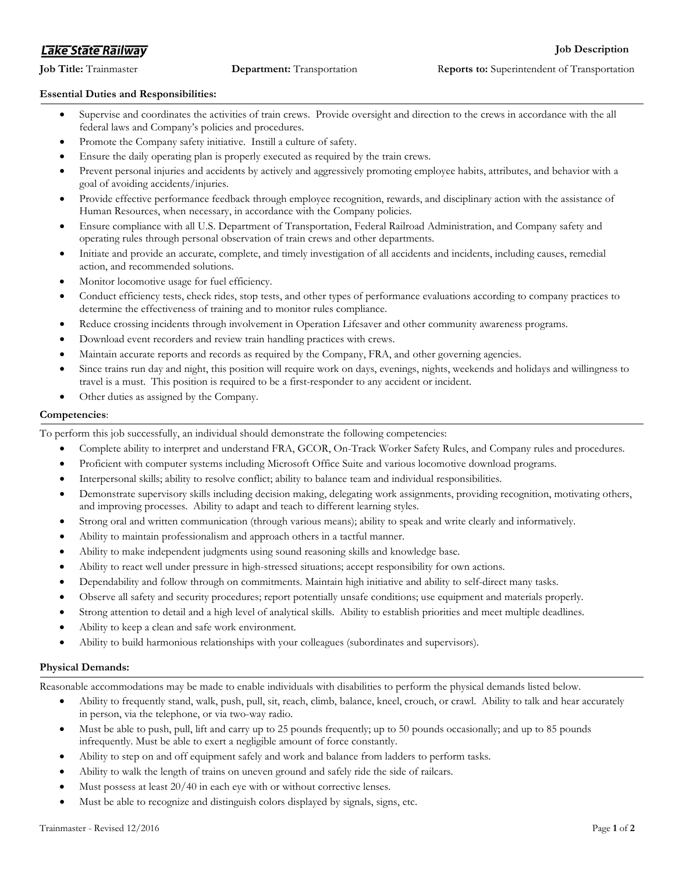# **Lake State Railway**

# **Essential Duties and Responsibilities:**

- Supervise and coordinates the activities of train crews. Provide oversight and direction to the crews in accordance with the all federal laws and Company's policies and procedures.
- Promote the Company safety initiative. Instill a culture of safety.
- Ensure the daily operating plan is properly executed as required by the train crews.
- Prevent personal injuries and accidents by actively and aggressively promoting employee habits, attributes, and behavior with a goal of avoiding accidents/injuries.
- Provide effective performance feedback through employee recognition, rewards, and disciplinary action with the assistance of Human Resources, when necessary, in accordance with the Company policies.
- Ensure compliance with all U.S. Department of Transportation, Federal Railroad Administration, and Company safety and operating rules through personal observation of train crews and other departments.
- Initiate and provide an accurate, complete, and timely investigation of all accidents and incidents, including causes, remedial action, and recommended solutions.
- Monitor locomotive usage for fuel efficiency.
- Conduct efficiency tests, check rides, stop tests, and other types of performance evaluations according to company practices to determine the effectiveness of training and to monitor rules compliance.
- Reduce crossing incidents through involvement in Operation Lifesaver and other community awareness programs.
- Download event recorders and review train handling practices with crews.
- Maintain accurate reports and records as required by the Company, FRA, and other governing agencies.
- Since trains run day and night, this position will require work on days, evenings, nights, weekends and holidays and willingness to travel is a must. This position is required to be a first-responder to any accident or incident.
- Other duties as assigned by the Company.

# **Competencies**:

To perform this job successfully, an individual should demonstrate the following competencies:

- Complete ability to interpret and understand FRA, GCOR, On-Track Worker Safety Rules, and Company rules and procedures.
- Proficient with computer systems including Microsoft Office Suite and various locomotive download programs.
- Interpersonal skills; ability to resolve conflict; ability to balance team and individual responsibilities.
- Demonstrate supervisory skills including decision making, delegating work assignments, providing recognition, motivating others, and improving processes. Ability to adapt and teach to different learning styles.
- Strong oral and written communication (through various means); ability to speak and write clearly and informatively.
- Ability to maintain professionalism and approach others in a tactful manner.
- Ability to make independent judgments using sound reasoning skills and knowledge base.
- Ability to react well under pressure in high-stressed situations; accept responsibility for own actions.
- Dependability and follow through on commitments. Maintain high initiative and ability to self-direct many tasks.
- Observe all safety and security procedures; report potentially unsafe conditions; use equipment and materials properly.
- Strong attention to detail and a high level of analytical skills. Ability to establish priorities and meet multiple deadlines.
- Ability to keep a clean and safe work environment.
- Ability to build harmonious relationships with your colleagues (subordinates and supervisors).

# **Physical Demands:**

Reasonable accommodations may be made to enable individuals with disabilities to perform the physical demands listed below.

- Ability to frequently stand, walk, push, pull, sit, reach, climb, balance, kneel, crouch, or crawl. Ability to talk and hear accurately in person, via the telephone, or via two-way radio.
- Must be able to push, pull, lift and carry up to 25 pounds frequently; up to 50 pounds occasionally; and up to 85 pounds infrequently. Must be able to exert a negligible amount of force constantly.
- Ability to step on and off equipment safely and work and balance from ladders to perform tasks.
- Ability to walk the length of trains on uneven ground and safely ride the side of railcars.
- Must possess at least 20/40 in each eye with or without corrective lenses.
- Must be able to recognize and distinguish colors displayed by signals, signs, etc.